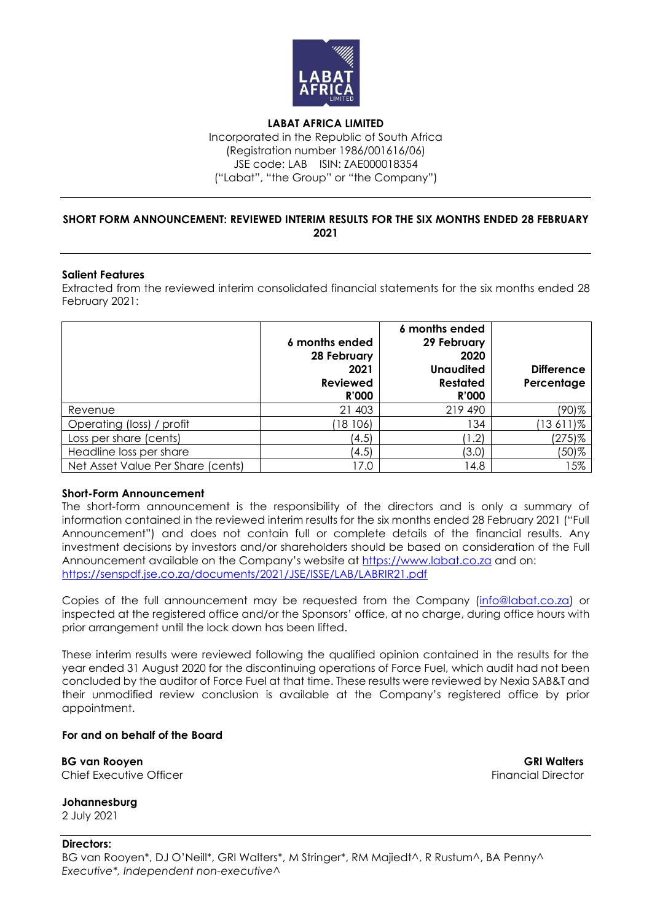

**LABAT AFRICA LIMITED** Incorporated in the Republic of South Africa (Registration number 1986/001616/06) JSE code: LAB ISIN: ZAE000018354 ("Labat", "the Group" or "the Company")

## **SHORT FORM ANNOUNCEMENT: REVIEWED INTERIM RESULTS FOR THE SIX MONTHS ENDED 28 FEBRUARY 2021**

## **Salient Features**

Extracted from the reviewed interim consolidated financial statements for the six months ended 28 February 2021:

|                                   | 6 months ended<br>28 February<br>2021<br>Reviewed<br><b>R'000</b> | 6 months ended<br>29 February<br>2020<br><b>Unaudited</b><br><b>Restated</b><br><b>R'000</b> | <b>Difference</b><br>Percentage |
|-----------------------------------|-------------------------------------------------------------------|----------------------------------------------------------------------------------------------|---------------------------------|
| Revenue                           | 21 403                                                            | 219 490                                                                                      | (90)%                           |
| Operating (loss) / profit         | 18 106)                                                           | 134                                                                                          | $(13611)\%$                     |
| Loss per share (cents)            | (4.5)                                                             | 1.2                                                                                          | (275)%                          |
| Headline loss per share           | (4.5)                                                             | (3.0)                                                                                        | (50)%                           |
| Net Asset Value Per Share (cents) | 17.0                                                              | 14.8                                                                                         | 15%                             |

## **Short-Form Announcement**

The short-form announcement is the responsibility of the directors and is only a summary of information contained in the reviewed interim results for the six months ended 28 February 2021 ("Full Announcement") and does not contain full or complete details of the financial results. Any investment decisions by investors and/or shareholders should be based on consideration of the Full Announcement available on the Company's website at [https://www.labat.co.za](http://www.labat.co.za/) and on: <https://senspdf.jse.co.za/documents/2021/JSE/ISSE/LAB/LABRIR21.pdf>

Copies of the full announcement may be requested from the Company [\(info@labat.co.za\)](mailto:info@labat.co.za) or inspected at the registered office and/or the Sponsors' office, at no charge, during office hours with prior arrangement until the lock down has been lifted.

These interim results were reviewed following the qualified opinion contained in the results for the year ended 31 August 2020 for the discontinuing operations of Force Fuel, which audit had not been concluded by the auditor of Force Fuel at that time. These results were reviewed by Nexia SAB&T and their unmodified review conclusion is available at the Company's registered office by prior appointment.

## **For and on behalf of the Board**

**BG van Rooyen GRI Walters** Chief Executive Officer **Financial Director** Financial Director

**Johannesburg** 2 July 2021

**Directors:** BG van Rooyen\*, DJ O'Neill\*, GRI Walters\*, M Stringer\*, RM Majiedt^, R Rustum^, BA Penny^ *Executive\*, Independent non-executive^*